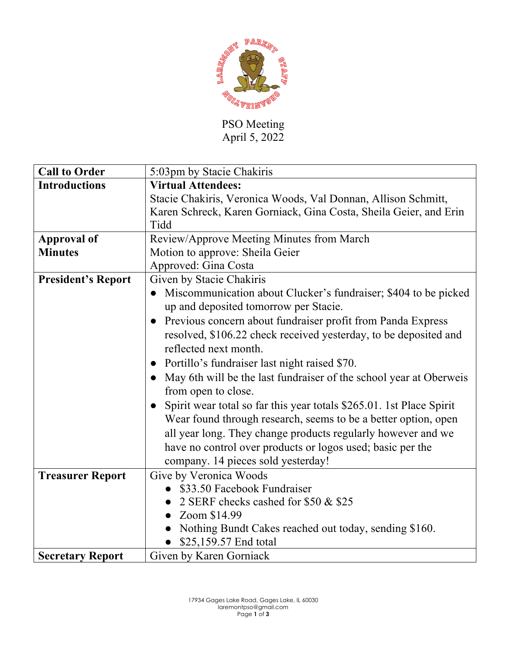

PSO Meeting April 5, 2022

| <b>Call to Order</b>      | 5:03pm by Stacie Chakiris                                                         |
|---------------------------|-----------------------------------------------------------------------------------|
| <b>Introductions</b>      | <b>Virtual Attendees:</b>                                                         |
|                           | Stacie Chakiris, Veronica Woods, Val Donnan, Allison Schmitt,                     |
|                           | Karen Schreck, Karen Gorniack, Gina Costa, Sheila Geier, and Erin                 |
|                           | Tidd                                                                              |
| <b>Approval of</b>        | Review/Approve Meeting Minutes from March                                         |
| <b>Minutes</b>            | Motion to approve: Sheila Geier                                                   |
|                           | Approved: Gina Costa                                                              |
| <b>President's Report</b> | Given by Stacie Chakiris                                                          |
|                           | Miscommunication about Clucker's fundraiser; \$404 to be picked                   |
|                           | up and deposited tomorrow per Stacie.                                             |
|                           | Previous concern about fundraiser profit from Panda Express<br>$\bullet$          |
|                           | resolved, \$106.22 check received yesterday, to be deposited and                  |
|                           | reflected next month.                                                             |
|                           | Portillo's fundraiser last night raised \$70.<br>$\bullet$                        |
|                           | May 6th will be the last fundraiser of the school year at Oberweis                |
|                           | from open to close.                                                               |
|                           | Spirit wear total so far this year totals \$265.01. 1st Place Spirit<br>$\bullet$ |
|                           | Wear found through research, seems to be a better option, open                    |
|                           | all year long. They change products regularly however and we                      |
|                           | have no control over products or logos used; basic per the                        |
|                           | company. 14 pieces sold yesterday!                                                |
| <b>Treasurer Report</b>   | Give by Veronica Woods                                                            |
|                           | \$33.50 Facebook Fundraiser                                                       |
|                           | 2 SERF checks cashed for \$50 & \$25                                              |
|                           | Zoom \$14.99                                                                      |
|                           | Nothing Bundt Cakes reached out today, sending \$160.                             |
|                           | \$25,159.57 End total                                                             |
| <b>Secretary Report</b>   | Given by Karen Gorniack                                                           |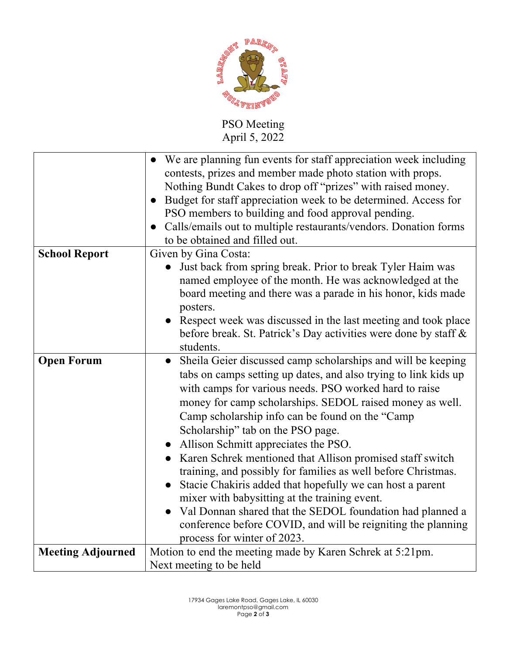

## PSO Meeting April 5, 2022

|                          | We are planning fun events for staff appreciation week including<br>$\bullet$<br>contests, prizes and member made photo station with props.<br>Nothing Bundt Cakes to drop off "prizes" with raised money.<br>Budget for staff appreciation week to be determined. Access for<br>$\bullet$<br>PSO members to building and food approval pending.<br>Calls/emails out to multiple restaurants/vendors. Donation forms<br>$\bullet$                                                                                                                                                                                                                                                                                                                                                                          |
|--------------------------|------------------------------------------------------------------------------------------------------------------------------------------------------------------------------------------------------------------------------------------------------------------------------------------------------------------------------------------------------------------------------------------------------------------------------------------------------------------------------------------------------------------------------------------------------------------------------------------------------------------------------------------------------------------------------------------------------------------------------------------------------------------------------------------------------------|
|                          | to be obtained and filled out.                                                                                                                                                                                                                                                                                                                                                                                                                                                                                                                                                                                                                                                                                                                                                                             |
| <b>School Report</b>     | Given by Gina Costa:<br>Just back from spring break. Prior to break Tyler Haim was<br>named employee of the month. He was acknowledged at the<br>board meeting and there was a parade in his honor, kids made<br>posters.<br>Respect week was discussed in the last meeting and took place<br>before break. St. Patrick's Day activities were done by staff &<br>students.                                                                                                                                                                                                                                                                                                                                                                                                                                 |
| <b>Open Forum</b>        | Sheila Geier discussed camp scholarships and will be keeping<br>$\bullet$<br>tabs on camps setting up dates, and also trying to link kids up<br>with camps for various needs. PSO worked hard to raise<br>money for camp scholarships. SEDOL raised money as well.<br>Camp scholarship info can be found on the "Camp<br>Scholarship" tab on the PSO page.<br>Allison Schmitt appreciates the PSO.<br>Karen Schrek mentioned that Allison promised staff switch<br>training, and possibly for families as well before Christmas.<br>Stacie Chakiris added that hopefully we can host a parent<br>mixer with babysitting at the training event.<br>Val Donnan shared that the SEDOL foundation had planned a<br>conference before COVID, and will be reigniting the planning<br>process for winter of 2023. |
| <b>Meeting Adjourned</b> | Motion to end the meeting made by Karen Schrek at 5:21pm.<br>Next meeting to be held                                                                                                                                                                                                                                                                                                                                                                                                                                                                                                                                                                                                                                                                                                                       |